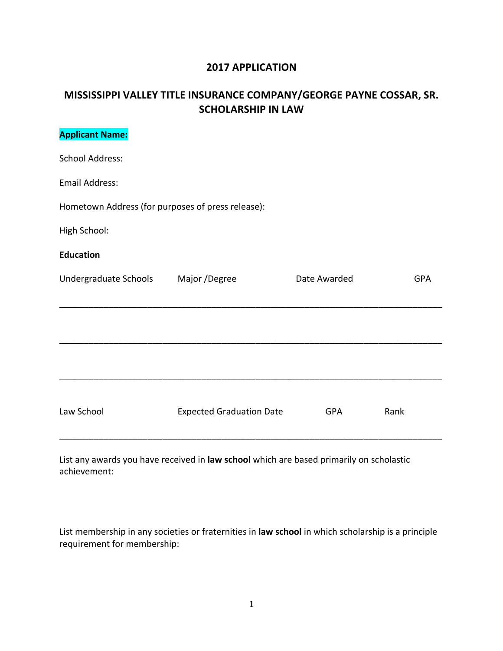## **2017 APPLICATION**

## **MISSISSIPPI VALLEY TITLE INSURANCE COMPANY/GEORGE PAYNE COSSAR, SR. SCHOLARSHIP IN LAW**

| <b>Applicant Name:</b>                            |                                 |              |            |
|---------------------------------------------------|---------------------------------|--------------|------------|
| <b>School Address:</b>                            |                                 |              |            |
| Email Address:                                    |                                 |              |            |
| Hometown Address (for purposes of press release): |                                 |              |            |
| High School:                                      |                                 |              |            |
| <b>Education</b>                                  |                                 |              |            |
| Undergraduate Schools                             | Major /Degree                   | Date Awarded | <b>GPA</b> |
|                                                   |                                 |              |            |
|                                                   |                                 |              |            |
|                                                   |                                 |              |            |
|                                                   |                                 |              |            |
| Law School                                        | <b>Expected Graduation Date</b> | <b>GPA</b>   | Rank       |
|                                                   |                                 |              |            |

List any awards you have received in law school which are based primarily on scholastic achievement:

List membership in any societies or fraternities in **law school** in which scholarship is a principle requirement for membership: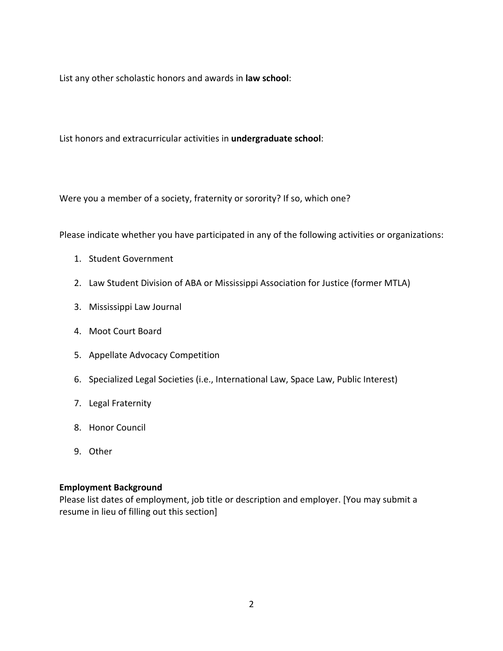List any other scholastic honors and awards in **law school**:

List honors and extracurricular activities in **undergraduate school**:

Were you a member of a society, fraternity or sorority? If so, which one?

Please indicate whether you have participated in any of the following activities or organizations:

- 1. Student Government
- 2. Law Student Division of ABA or Mississippi Association for Justice (former MTLA)
- 3. Mississippi Law Journal
- 4. Moot Court Board
- 5. Appellate Advocacy Competition
- 6. Specialized Legal Societies (i.e., International Law, Space Law, Public Interest)
- 7. Legal Fraternity
- 8. Honor Council
- 9. Other

## **Employment Background**

Please list dates of employment, job title or description and employer. [You may submit a resume in lieu of filling out this section]